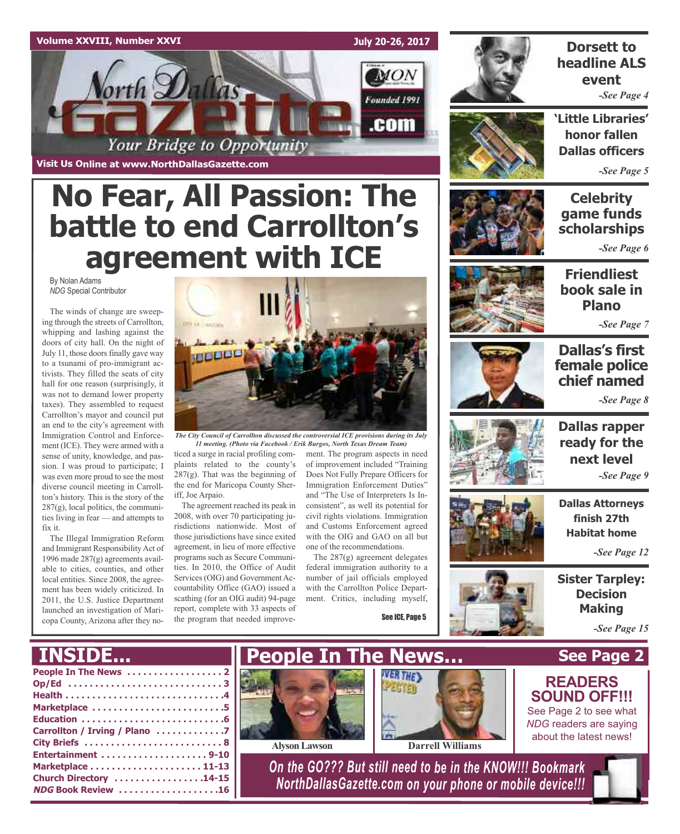

### **Visit Us Online at www.NorthDallasGazette.com**

# **No Fear, All Passion: The battle to end Carrollton's agreement with ICE**

By Nolan Adams *NDG* Special Contributor

The winds of change are sweeping through the streets of Carrollton, whipping and lashing against the doors of city hall. On the night of July 11, those doors finally gave way to a tsunami of pro-immigrant activists. They filled the seats of city hall for one reason (surprisingly, it was not to demand lower property taxes). They assembled to request Carrollton's mayor and council put an end to the city's agreement with Immigration Control and Enforcement (ICE). They were armed with a sense of unity, knowledge, and passion. I was proud to participate; I was even more proud to see the most diverse council meeting in Carrollton's history. This is the story of the 287(g), local politics, the communities living in fear — and attempts to fix it.

The Illegal Immigration Reform and Immigrant ResponsibilityAct of 1996 made 287(g) agreements available to cities, counties, and other local entities. Since 2008, the agreement has been widely criticized. In 2011, the U.S. Justice Department launched an investigation of Maricopa County, Arizona after they no-



*The City Council of Carrollton discussed the controversial ICE provisions during its July 11 meeting. (Photo via Facebook / Erik Burgos, North Texas Dream Team)*

ticed a surge in racial profiling complaints related to the county's 287(g). That was the beginning of the end for Maricopa County Sheriff, Joe Arpaio.

The agreement reached its peak in 2008, with over 70 participating jurisdictions nationwide. Most of those jurisdictions have since exited agreement, in lieu of more effective programs such as Secure Communities. In 2010, the Office of Audit Services (OIG) and Government Accountability Office (GAO) issued a scathing (for an OIG audit) 94-page report, complete with 33 aspects of the program that needed improve-

ment. The program aspects in need of improvement included "Training Does Not Fully Prepare Officers for Immigration Enforcement Duties" and "The Use of Interpreters Is Inconsistent", as well its potential for civil rights violations. Immigration and Customs Enforcement agreed with the OIG and GAO on all but one of the recommendations.

The 287(g) agreement delegates federal immigration authority to a number of jail officials employed with the Carrollton Police Department. Critics, including myself,

See ICE, Page 5



### **Dorsett to headline ALS event** *-See Page 4*



**'Little Libraries' honor fallen Dallas officers**

*-See Page 5*



**Celebrity game funds scholarships**

*-See Page 6*



**Friendliest book sale in Plano**

*-See Page 7*



### **Dallas's first female police chief named**

*-See Page 8*



**Dallas rapper ready for the next level** *-See Page 9*

**Dallas Attorneys finish 27th Habitat home**

*-See Page 12*

**Sister Tarpley: Decision Making**

*-See Page 15*

### **INSIDE...**

| Marketplace 5                 |  |
|-------------------------------|--|
|                               |  |
| Carrollton / Irving / Plano 7 |  |
|                               |  |
|                               |  |
|                               |  |
| Church Directory 14-15        |  |
| <b>NDG Book Review 16</b>     |  |
|                               |  |





**AlysonLawson Darrell Williams**

*On the GO??? But still need to be in the KNOW!!! Bookmark NorthDallasGazette.com on your phone or mobile device!!!*



See Page 2 to see what *NDG* readers are saying about the latest news!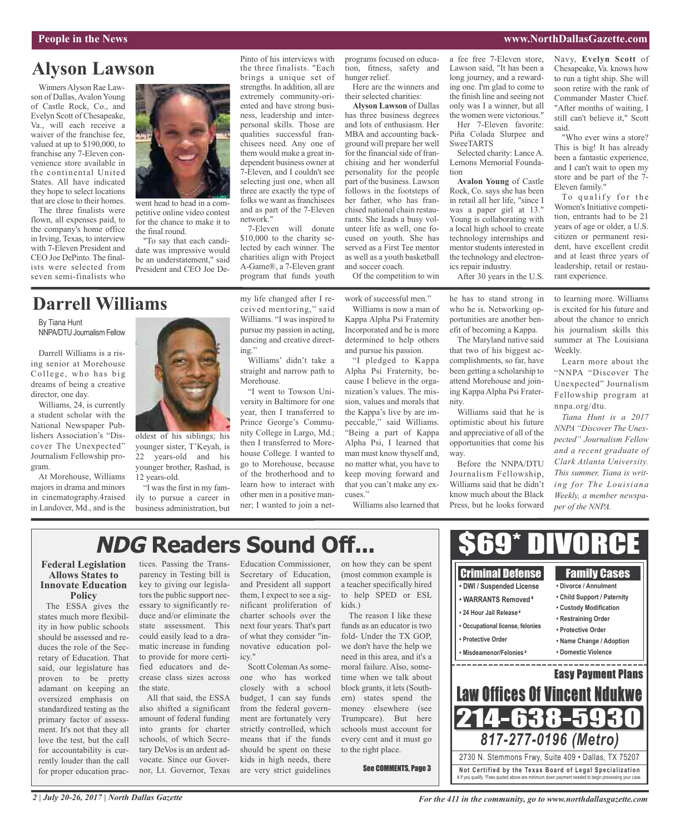### **Alyson Lawson**

WinnersAlyson Rae Lawson of Dallas, Avalon Young of Castle Rock, Co., and Evelyn Scott of Chesapeake, Va., will each receive a waiver of the franchise fee, valued at up to \$190,000, to franchise any 7-Eleven convenience store available in the continental United States. All have indicated they hope to select locations that are close to their homes.

The three finalists were flown, all expenses paid, to the company's home office in Irving, Texas, to interview with 7-Eleven President and CEO Joe DePinto. The finalists were selected from seven semi-finalists who



went head to head in a competitive online video contest for the chance to make it to the final round.

"To say that each candidate was impressive would be an understatement," said President and CEO Joe De-

### **Darrell Williams**

By Tiana Hunt NNPA/DTU Journalism Fellow

Darrell Williams is a rising senior at Morehouse College, who has big dreams of being a creative director, one day.

Williams, 24, is currently a student scholar with the National Newspaper Publishers Association's "Discover The Unexpected" Journalism Fellowship program.

At Morehouse, Williams majors in drama and minors in cinematography.4raised in Landover, Md., and is the



oldest of his siblings; his younger sister, T'Keyah, is 22 years-old and his younger brother, Rashad, is 12 years-old.

"I was the first in my family to pursue a career in business administration, but my life changed after I re-Williams. "I was inspired to A-Game®, a 7-Eleven grant program that funds youth

7-Eleven will donate \$10,000 to the charity selected by each winner. The charities align with Project

Pinto of his interviews with the three finalists. "Each brings a unique set of strengths. In addition, all are extremely community-oriented and have strong business, leadership and interpersonal skills. Those are qualities successful franchisees need. Any one of them would make a great independent business owner at 7-Eleven, and I couldn't see selecting just one, when all three are exactly the type of folks we want as franchisees and as part of the 7-Eleven

Morehouse.

versity in Baltimore for one year, then I transferred to Prince George's Community College in Largo, Md.; then I transferred to Morehouse College. I wanted to go to Morehouse, because of the brotherhood and to learn how to interact with other men in a positive manner; I wanted to join a netprograms focused on education, fitness, safety and hunger relief. Here are the winners and

their selected charities: **Alyson Lawson** of Dallas has three business degrees and lots of enthusiasm. Her MBA and accounting background will prepare her well for the financial side of franchising and her wonderful personality for the people part of the business. Lawson follows in the footsteps of her father, who has franchised national chain restaurants. She leads a busy volunteer life as well, one focused on youth. She has served as a First Tee mentor as well as a youth basketball and soccer coach.

Of the competition to win

work of successful men." Williams is now a man of Kappa Alpha Psi Fraternity Incorporated and he is more determined to help others and pursue his passion.

"I pledged to Kappa Alpha Psi Fraternity, because I believe in the organization's values. The mission, values and morals that the Kappa's live by are impeccable," said Williams. "Being a part of Kappa Alpha Psi, I learned that man must know thyself and, no matter what, you have to keep moving forward and that you can't make any excuses."

Williams also learned that

### tices. Passing the Trans-Education Commissioner, **NDG Readers Sound Off...**

#### **Federal Legislation Allows States to Innovate Education Policy**

The ESSA gives the states much more flexibility in how public schools should be assessed and reduces the role of the Secretary of Education. That said, our legislature has proven to be pretty adamant on keeping an oversized emphasis on standardized testing as the primary factor of assessment. It's not that they all love the test, but the call for accountability is currently louder than the call for proper education prac-

parency in Testing bill is key to giving our legislators the public support necessary to significantly reduce and/or eliminate the state assessment. This could easily lead to a dramatic increase in funding to provide for more certified educators and decrease class sizes across the state.

All that said, the ESSA also shifted a significant amount of federal funding into grants for charter schools, of which Secretary DeVos is an ardent advocate. Since our Governor, Lt. Governor, Texas

Secretary of Education, and President all support them, I expect to see a significant proliferation of charter schools over the next four years. That's part of what they consider "innovative education policy."

Scott Coleman As someone who has worked closely with a school budget, I can say funds from the federal government are fortunately very strictly controlled, which means that if the funds should be spent on these kids in high needs, there are very strict guidelines

on how they can be spent (most common example is a teacher specifically hired to help SPED or ESL kids.)

The reason I like these funds as an educator is two fold- Under the TX GOP, we don't have the help we need in this area, and it's a moral failure. Also, sometime when we talk about block grants, it lets (Southern) states spend the money elsewhere (see Trumpcare). But here schools must account for every cent and it must go

a fee free 7-Eleven store, Lawson said, "It has been a long journey, and a rewarding one. I'm glad to come to the finish line and seeing not only was I a winner, but all the women were victorious." Her 7-Eleven favorite: Piña Colada Slurpee and SweeTARTS

Selected charity: LanceA. Lemons Memorial Foundation

**Avalon Young** of Castle Rock, Co. says she has been in retail all her life, "since I was a paper girl at 13." Young is collaborating with a local high school to create technology internships and mentor students interested in the technology and electronics repair industry.

After 30 years in the U.S.

he has to stand strong in who he is. Networking opportunities are another benefit of becoming a Kappa.

The Maryland native said that two of his biggest accomplishments, so far, have been getting a scholarship to attend Morehouse and joining Kappa Alpha Psi Fraternity.

Williams said that he is optimistic about his future and appreciative of all of the opportunities that come his way.

Before the NNPA/DTU Journalism Fellowship, Williams said that he didn't know much about the Black Press, but he looks forward Navy, **Evelyn Scott** of Chesapeake, Va. knows how to run a tight ship. She will soon retire with the rank of Commander Master Chief. "After months of waiting, I still can't believe it," Scott said.

"Who ever wins a store? This is big! It has already been a fantastic experience, and I can't wait to open my store and be part of the 7- Eleven family."

To qualify for the Women's Initiative competition, entrants had to be 21 years of age or older, a U.S. citizen or permanent resident, have excellent credit and at least three years of leadership, retail or restaurant experience.

to learning more. Williams is excited for his future and about the chance to enrich his journalism skills this summer at The Louisiana Weekly.

Learn more about the "NNPA "Discover The Unexpected" Journalism Fellowship program at nnpa.org/dtu.

*Tiana Hunt is a 2017 NNPA "Discover The Unexpected" Journalism Fellow and a recent graduate of Clark Atlanta University. This summer, Tiana is writing for The Louisiana Weekly, a member newspaper of the NNPA.*



ceived mentoring," said pursue my passion in acting, dancing and creative directing." Williams' didn't take a

network."

straight and narrow path to "I went to Towson Uni-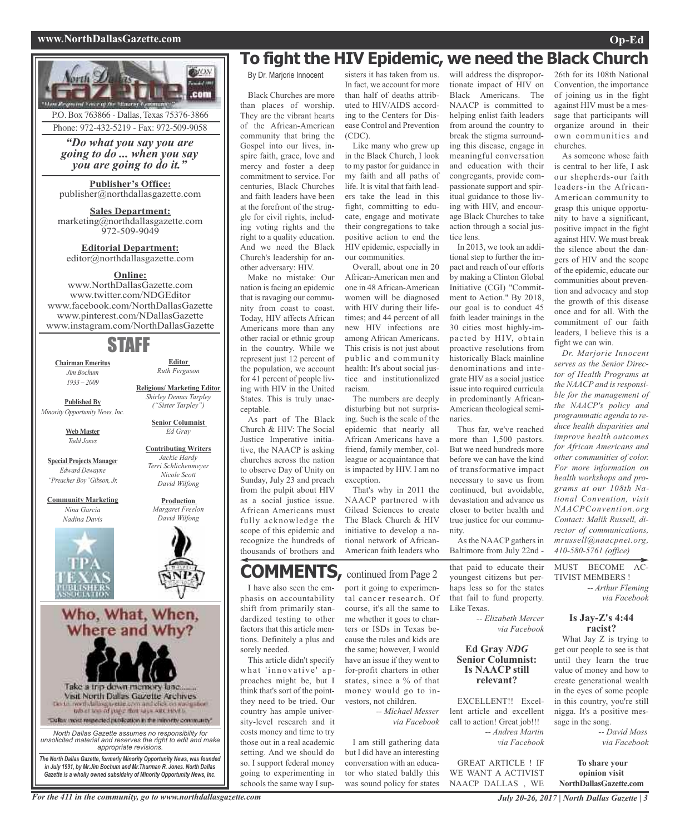#### **www.NorthDallasGazette.com Op-Ed**



## **To fight the HIV Epidemic, we need the Black Church**

By Dr. Marjorie Innocent

Black Churches are more than places of worship. They are the vibrant hearts of the African-American community that bring the Gospel into our lives, inspire faith, grace, love and mercy and foster a deep commitment to service. For centuries, Black Churches and faith leaders have been at the forefront of the struggle for civil rights, including voting rights and the right to a quality education. And we need the Black Church's leadership for another adversary: HIV.

Make no mistake: Our nation is facing an epidemic that is ravaging our community from coast to coast. Today, HIV affects African Americans more than any other racial or ethnic group in the country. While we represent just 12 percent of the population, we account for 41 percent of people living with HIV in the United States. This is truly unacceptable.

As part of The Black Church & HIV: The Social Justice Imperative initiative, the NAACP is asking churches across the nation to observe Day of Unity on Sunday, July 23 and preach from the pulpit about HIV as a social justice issue. African Americans must fully acknowledge the scope of this epidemic and recognize the hundreds of thousands of brothers and

### **COMMENTS,** continued from Page <sup>2</sup>

I have also seen the emphasis on accountability shift from primarily standardized testing to other factors that this article mentions. Definitely a plus and sorely needed.

This article didn't specify what 'innovative' approaches might be, but I think that's sort of the pointthey need to be tried. Our country has ample university-level research and it costs money and time to try those out in a real academic setting. And we should do so. I support federal money going to experimenting in schools the same way I sup-

sisters it has taken from us. In fact, we account for more than half of deaths attributed to HIV/AIDS according to the Centers for Disease Control and Prevention (CDC).

Like many who grew up in the Black Church, I look to my pastor for guidance in my faith and all paths of life. It is vital that faith leaders take the lead in this fight, committing to educate, engage and motivate their congregations to take positive action to end the HIV epidemic, especially in our communities.

Overall, about one in 20 African-American men and one in 48 African-American women will be diagnosed with HIV during their lifetimes; and 44 percent of all new HIV infections are among African Americans. This crisis is not just about public and community health: It's about social justice and institutionalized racism.

The numbers are deeply disturbing but not surprising. Such is the scale of the epidemic that nearly all African Americans have a friend, family member, colleague or acquaintance that is impacted by HIV. I am no exception.

That's why in 2011 the NAACP partnered with Gilead Sciences to create The Black Church & HIV initiative to develop a national network of African-American faith leaders who

port it going to experimental cancer research. Of course, it's all the same to me whether it goes to charters or ISDs in Texas because the rules and kids are the same; however, I would have an issue if they went to for-profit charters in other states, since a % of that money would go to investors, not children.

> *-- Michael Messer via Facebook*

I am still gathering data but I did have an interesting conversation with an educator who stated baldly this was sound policy for states

will address the disproportionate impact of HIV on Black Americans. The NAACP is committed to helping enlist faith leaders from around the country to break the stigma surrounding this disease, engage in meaningful conversation and education with their congregants, provide compassionate support and spiritual guidance to those living with HIV, and encourage Black Churches to take action through a social justice lens.

In 2013, we took an additional step to further the impact and reach of our efforts by making a Clinton Global Initiative (CGI) "Commitment to Action." By 2018, our goal is to conduct 45 faith leader trainings in the 30 cities most highly-impacted by HIV, obtain proactive resolutions from historically Black mainline denominations and integrate HIV as a social justice issue into required curricula in predominantly African-American theological seminaries.

Thus far, we've reached more than 1,500 pastors. But we need hundreds more before we can have the kind of transformative impact necessary to save us from continued, but avoidable, devastation and advance us closer to better health and true justice for our community.

As the NAACP gathers in Baltimore from July 22nd -

that paid to educate their youngest citizens but perhaps less so for the states that fail to fund property. Like Texas.

> *-- Elizabeth Mercer via Facebook*

#### **Ed Gray** *NDG* **Senior Columnist: Is NAACP still relevant?**

EXCELLENT!! Excellent article and excellent call to action! Great job!!! *-- Andrea Martin via Facebook*

GREAT ARTICLE ! IF WE WANT A ACTIVIST NAACP DALLAS , WE

26th for its 108th National Convention, the importance of joining us in the fight against HIV must be a message that participants will organize around in their own communities and churches.

As someone whose faith is central to her life, I ask our shepherds-our faith leaders-in the African-American community to grasp this unique opportunity to have a significant, positive impact in the fight against HIV. We must break the silence about the dangers of HIV and the scope of the epidemic, educate our communities about prevention and advocacy and stop the growth of this disease once and for all. With the commitment of our faith leaders, I believe this is a fight we can win.

*Dr. Marjorie Innocent serves as the Senior Director of Health Programs at the NAACP and is responsible for the management of the NAACP's policy and programmatic agenda to reduce health disparities and improve health outcomes for African Americans and other communities of color. For more information on health workshops and programs at our 108th National Convention, visit NAACPConvention.org Contact: Malik Russell, director of communications, mrussell@naacpnet.org, 410-580-5761 (office)*

MUST BECOME AC-TIVIST MEMBERS ! *-- Arthur Fleming*

*via Facebook*

### **Is Jay-Z's 4:44 racist?**

What Jay Z is trying to get our people to see is that until they learn the true value of money and how to create generational wealth in the eyes of some people in this country, you're still nigga. It's a positive message in the song.

*-- David Moss via Facebook*

**To share your opinion visit NorthDallasGazette.com**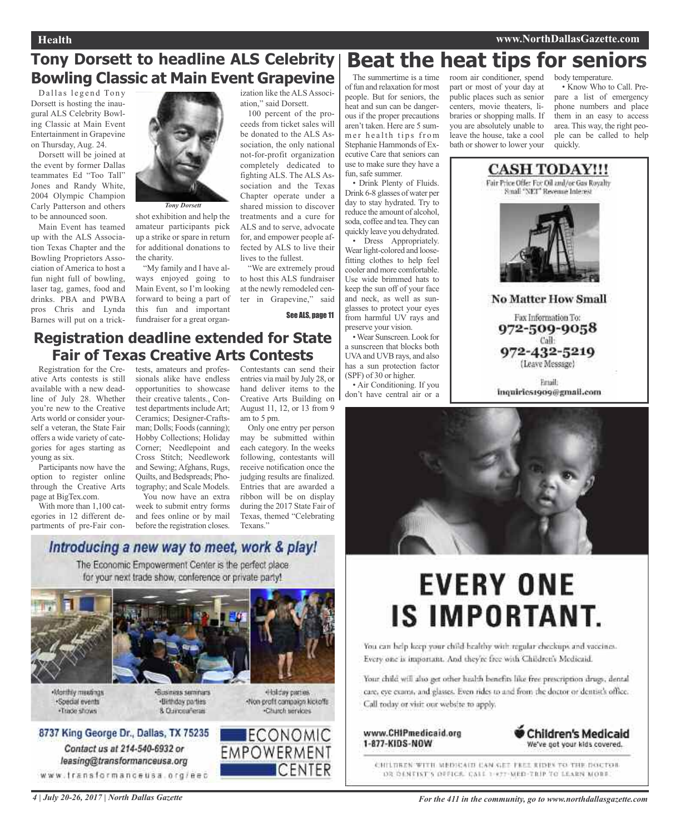# **Bowling Classic at Main Event Grapevine**

Dallas legend Tony Dorsett is hosting the inaugural ALS Celebrity Bowling Classic at Main Event Entertainment in Grapevine on Thursday, Aug. 24.

Dorsett will be joined at the event by former Dallas teammates Ed "Too Tall" Jones and Randy White, 2004 Olympic Champion Carly Patterson and others to be announced soon.

Main Event has teamed up with the ALS Association Texas Chapter and the Bowling Proprietors Association of America to host a fun night full of bowling, laser tag, games, food and drinks. PBA and PWBA pros Chris and Lynda Barnes will put on a trick-



shot exhibition and help the amateur participants pick up a strike or spare in return for additional donations to the charity.

"My family and I have always enjoyed going to Main Event, so I'm looking forward to being a part of this fun and important fundraiser for a great organization like the ALS Association," said Dorsett.

100 percent of the proceeds from ticket sales will be donated to the ALS Association, the only national not-for-profit organization completely dedicated to fighting ALS. The ALS Association and the Texas Chapter operate under a shared mission to discover treatments and a cure for ALS and to serve, advocate for, and empower people affected by ALS to live their lives to the fullest.

"We are extremely proud to host this ALS fundraiser at the newly remodeled center in Grapevine," said

See ALS, page 11

### **Registration deadline extended for State Fair of Texas Creative Arts Contests**

Registration for the Creative Arts contests is still available with a new deadline of July 28. Whether you're new to the Creative Arts world or consider yourself a veteran, the State Fair offers a wide variety of categories for ages starting as young as six.

Participants now have the option to register online through the Creative Arts page at BigTex.com.

With more than 1,100 categories in 12 different departments of pre-Fair contests, amateurs and professionals alike have endless opportunities to showcase their creative talents., Contest departments include Art; Ceramics; Designer-Craftsman; Dolls; Foods (canning); Hobby Collections; Holiday Corner; Needlepoint and Cross Stitch; Needlework and Sewing; Afghans, Rugs, Quilts, and Bedspreads; Photography; and Scale Models. You now have an extra

week to submit entry forms and fees online or by mail before the registration closes.

Contestants can send their entries via mail by July 28, or hand deliver items to the Creative Arts Building on August 11, 12, or 13 from 9 am to 5 pm.

Only one entry per person may be submitted within each category. In the weeks following, contestants will receive notification once the judging results are finalized. Entries that are awarded a ribbon will be on display during the 2017 State Fair of Texas, themed "Celebrating Texans."

### Introducing a new way to meet, work & play!

The Economic Empowerment Center is the perfect place for your next trade show, conference or private party!



. Monthly meetings ·Special events ·Trade shows



History parties. -Non-profit compaign kickoffs -Church services

8737 King George Dr., Dallas, TX 75235 Contact us at 214-540-6932 or leasing@transformanceusa.org www.transformanceusa.org/eec

ECONOMIC EMPOWERMENT **CENTER** 

## **Tony Dorsett to headline ALS Celebrity Beat the heat tips for seniors**

The summertime is a time offun and relaxation for most people. But for seniors, the heat and sun can be dangerous if the proper precautions aren't taken. Here are 5 summer health tips from Stephanie Hammonds of Executive Care that seniors can use to make sure they have a fun, safe summer.

• Drink Plenty of Fluids. Drink 6-8 glasses of water per day to stay hydrated. Try to reduce the amount of alcohol, soda, coffee and tea.They can quickly leave you dehydrated.

• Dress Appropriately. Wear light-colored and loosefitting clothes to help feel cooler and more comfortable. Use wide brimmed hats to keep the sun off of your face and neck, as well as sunglasses to protect your eyes from harmful UV rays and preserve your vision.

•Wear Sunscreen. Look for a sunscreen that blocks both UVAand UVB rays, and also has a sun protection factor (SPF) of 30 or higher.

• Air Conditioning. If you don't have central air or a

room air conditioner, spend part or most of your day at public places such as senior centers, movie theaters, libraries or shopping malls. If you are absolutely unable to leave the house, take a cool bath or shower to lower your body temperature.

• Know Who to Call. Prepare a list of emergency phone numbers and place them in an easy to access area. This way, the right people can be called to help quickly.



972-509-9058 Call: 972-432-5219 (Leave Message)

Email inquiries1909@gmail.com



# **EVERY ONE IS IMPORTANT.**

You can help keep your child healthy with regular checkups and vaccines. Every one is important. And they're free with Childrett's Medicaid.

Your child will also get other health benefits like free prescription drugs, dental care, eye exams, and glasses. Even rides to and from the doctor or dentist's office. Call today or visit our website to apply.





CHILDREN WITH MEDICAIN CAN GET FREE RIDES TO THE DOCTOR DR DENTIST'S OFFICE, CALL 1-877-MED-TRIP TO LEARN MORE.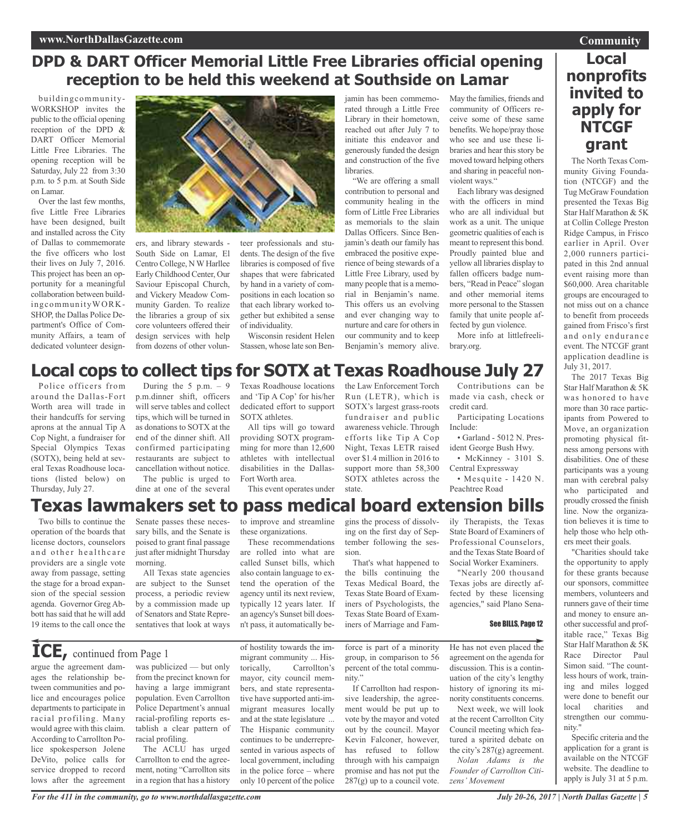### **DPD & DART Officer Memorial Little Free Libraries official opening reception to be held this weekend at Southside on Lamar**

buildingcommunity-WORKSHOP invites the public to the official opening reception of the DPD & DART Officer Memorial Little Free Libraries. The opening reception will be Saturday, July 22 from 3:30 p.m. to 5 p.m. at South Side on Lamar.

Over the last few months, five Little Free Libraries have been designed, built and installed across the City of Dallas to commemorate the five officers who lost their lives on July 7, 2016. This project has been an opportunity for a meaningful collaboration between buildingcommunityWORK-SHOP, the Dallas Police Department's Office of Community Affairs, a team of dedicated volunteer design-



ers, and library stewards - South Side on Lamar, El Centro College, N W Harllee Early Childhood Center, Our Saviour Episcopal Church, and Vickery Meadow Community Garden. To realize the libraries a group of six core volunteers offered their design services with help from dozens of other volunteer professionals and students. The design of the five libraries is composed of five shapes that were fabricated by hand in a variety of compositions in each location so that each library worked together but exhibited a sense of individuality.

Wisconsin resident Helen Stassen, whose late son Benjamin has been commemorated through a Little Free Library in their hometown, reached out after July 7 to initiate this endeavor and generously funded the design and construction of the five **libraries** 

"We are offering a small contribution to personal and community healing in the form of Little Free Libraries as memorials to the slain Dallas Officers. Since Benjamin's death our family has embraced the positive experience of being stewards of a Little Free Library, used by many people that is a memorial in Benjamin's name. This offers us an evolving and ever changing way to nurture and care for others in our community and to keep Benjamin's memory alive. May the families, friends and community of Officers receive some of these same benefits. We hope/pray those who see and use these libraries and hear this story be moved toward helping others and sharing in peaceful nonviolent ways."

Each library was designed with the officers in mind who are all individual but work as a unit. The unique geometric qualities of each is meant to represent this bond. Proudly painted blue and yellow all libraries display to fallen officers badge numbers, "Read in Peace" slogan and other memorial items more personal to the Stassen family that unite people affected by gun violence.

More info at littlefreelibrary.org.

## **Local cops to collect tips for SOTX at Texas Roadhouse July 27**

Police officers from around the Dallas-Fort Worth area will trade in their handcuffs for serving aprons at the annual Tip A Cop Night, a fundraiser for Special Olympics Texas (SOTX), being held at several Texas Roadhouse locations (listed below) on Thursday, July 27.

During the  $5$  p.m.  $-9$ p.m.dinner shift, officers will serve tables and collect tips, which will be turned in as donations to SOTX at the end of the dinner shift. All confirmed participating restaurants are subject to cancellation without notice. The public is urged to

dine at one of the several

Texas Roadhouse locations and 'Tip A Cop' for his/her dedicated effort to support SOTX athletes.

All tips will go toward providing SOTX programming for more than 12,600 athletes with intellectual disabilities in the Dallas-Fort Worth area.

This event operates under

the Law Enforcement Torch Run (LETR), which is SOTX's largest grass-roots fundraiser and public awareness vehicle. Through efforts like Tip A Cop Night, Texas LETR raised over \$1.4 million in 2016 to support more than 58,300 SOTX athletes across the state.

Contributions can be made via cash, check or credit card.

Participating Locations Include:

• Garland - 5012 N. President George Bush Hwy.

• McKinney - 3101 S. Central Expressway

• Mesquite - 1420 N. Peachtree Road

## **Texas lawmakers set to pass medical board extension bills**

Two bills to continue the operation of the boards that license doctors, counselors and other healthcare providers are a single vote away from passage, setting the stage for a broad expansion of the special session agenda. Governor GregAbbott has said that he will add 19 items to the call once the

argue the agreement damages the relationship between communities and police and encourages police departments to participate in racial profiling. Many would agree with this claim. According to Carrollton Police spokesperson Jolene DeVito, police calls for service dropped to record lows after the agreement

**ICE,** continued from Page <sup>1</sup>

Senate passes these necessary bills, and the Senate is poised to grant final passage just after midnight Thursday morning.

All Texas state agencies are subject to the Sunset process, a periodic review by a commission made up of Senators and State Representatives that look at ways

was publicized — but only from the precinct known for having a large immigrant population. Even Carrollton Police Department's annual racial-profiling reports establish a clear pattern of

The ACLU has urged Carrollton to end the agreement, noting "Carrollton sits in a region that has a history to improve and streamline these organizations.

These recommendations are rolled into what are called Sunset bills, which also contain language to extend the operation of the agency until its next review, typically 12 years later. If an agency's Sunset bill doesn't pass, it automatically be-

of hostility towards the immigrant community ... Historically, Carrollton's mayor, city council members, and state representative have supported anti-immigrant measures locally and at the state legislature ... The Hispanic community continues to be underrepresented in various aspects of local government, including in the police force – where only 10 percent of the police

gins the process of dissolving on the first day of September following the session.

That's what happened to the bills continuing the Texas Medical Board, the Texas State Board of Examiners of Psychologists, the Texas State Board of Examiners of Marriage and Fam-

force is part of a minority group, in comparison to 56 percent of the total commu-

If Carrollton had responsive leadership, the agreement would be put up to vote by the mayor and voted out by the council. Mayor Kevin Falconer, however, has refused to follow through with his campaign promise and has not put the 287(g) up to a council vote.

nity."

ily Therapists, the Texas State Board of Examiners of Professional Counselors, and the Texas State Board of

Social Worker Examiners. "Nearly 200 thousand Texas jobs are directly affected by these licensing agencies," said Plano Sena-

### See BILLS, Page 12

He has not even placed the agreement on the agenda for discussion. This is a continuation of the city's lengthy history of ignoring its minority constituents concerns. Next week, we will look at the recent Carrollton City Council meeting which featured a spirited debate on the city's 287(g) agreement. *Nolan Adams is the Founder of Carrollton Citizens' Movement*

### **Community Local nonprofits invited to apply for NTCGF grant**

The North Texas Community Giving Foundation (NTCGF) and the Tug McGraw Foundation presented the Texas Big Star Half Marathon & 5K at Collin College Preston Ridge Campus, in Frisco earlier in April. Over 2,000 runners participated in this 2nd annual event raising more than \$60,000. Area charitable groups are encouraged to not miss out on a chance to benefit from proceeds gained from Frisco's first and only endurance event. The NTCGF grant application deadline is July 31, 2017.

The 2017 Texas Big Star Half Marathon & 5K was honored to have more than 30 race participants from Powered to Move, an organization promoting physical fitness among persons with disabilities. One of these participants was a young man with cerebral palsy who participated and proudly crossed the finish line. Now the organization believes it is time to help those who help others meet their goals.

"Charities should take the opportunity to apply for these grants because our sponsors, committee members, volunteers and runners gave of their time and money to ensure another successful and profitable race," Texas Big Star Half Marathon & 5K Race Director Paul Simon said. "The countless hours of work, training and miles logged were done to benefit our local charities and strengthen our community."

Specific criteria and the application for a grant is available on the NTCGF website. The deadline to apply is July 31 at 5 p.m.

racial profiling.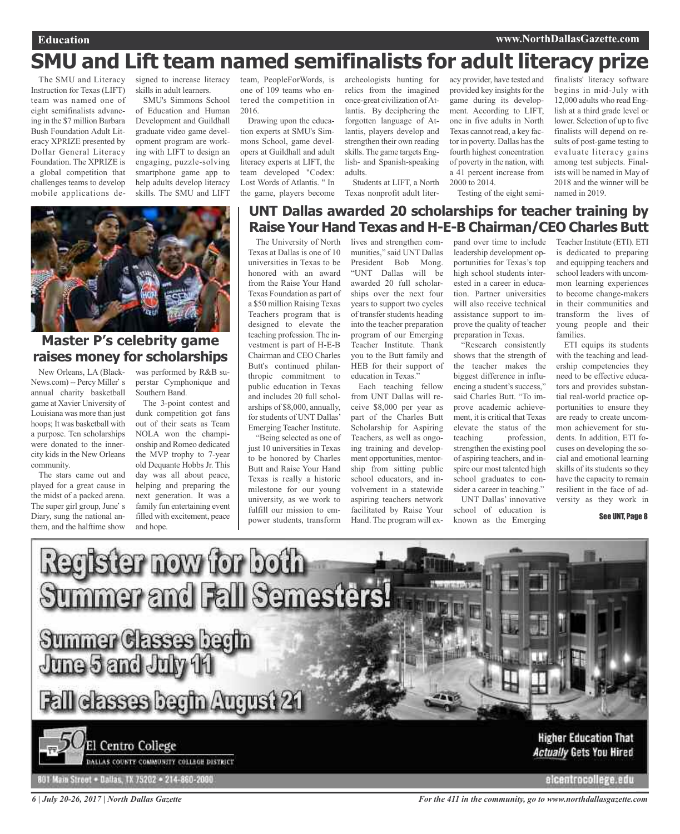# **SMU and Lift team named semifinalists for adult literacy prize**

The SMU and Literacy Instruction for Texas (LIFT) team was named one of eight semifinalists advancing in the \$7 million Barbara Bush Foundation Adult Literacy XPRIZE presented by Dollar General Literacy Foundation. The XPRIZE is a global competition that challenges teams to develop mobile applications de-

signed to increase literacy skills in adult learners.

SMU's Simmons School of Education and Human Development and Guildhall graduate video game development program are working with LIFT to design an engaging, puzzle-solving smartphone game app to help adults develop literacy skills. The SMU and LIFT

team, PeopleForWords, is one of 109 teams who entered the competition in 2016.

Drawing upon the education experts at SMU's Simmons School, game developers at Guildhall and adult literacy experts at LIFT, the team developed "Codex: Lost Words of Atlantis. " In the game, players become

thropic commitment to public education in Texas and includes 20 full scholarships of \$8,000, annually, for students of UNT Dallas' Emerging Teacher Institute. "Being selected as one of just 10 universities in Texas to be honored by Charles Butt and Raise Your Hand Texas is really a historic milestone for our young university, as we work to fulfill our mission to empower students, transform

archeologists hunting for relics from the imagined once-great civilization of Atlantis. By deciphering the forgotten language of Atlantis, players develop and strengthen their own reading skills. The game targets English- and Spanish-speaking adults.

Students at LIFT, a North Texas nonprofit adult literacy provider, have tested and provided key insights for the game during its development. According to LIFT, one in five adults in North Texas cannot read, a key factor in poverty. Dallas has the fourth highest concentration of poverty in the nation, with a 41 percent increase from 2000 to 2014.

Testing of the eight semi-

**UNT Dallas awarded 20 scholarships for teacher training by**

finalists' literacy software begins in mid-July with 12,000 adults who read English at a third grade level or lower. Selection of up to five finalists will depend on results of post-game testing to evaluate literacy gains among test subjects. Finalists will be named in May of 2018 and the winner will be named in 2019.



### **Master P's celebrity game raises money for scholarships**

New Orleans, LA (Black-News.com) -- Percy Miller's annual charity basketball game at Xavier University of Louisiana was more than just hoops; It was basketball with a purpose. Ten scholarships were donated to the innercity kids in the New Orleans community.

The stars came out and played for a great cause in the midst of a packed arena. The super girl group, June's Diary, sung the national anthem, and the halftime show was performed by R&B superstar Cymphonique and Southern Band.

The 3-point contest and dunk competition got fans out of their seats as Team NOLA won the championship and Romeo dedicated the MVP trophy to 7-year old Dequante Hobbs Jr. This day was all about peace, helping and preparing the next generation. It was a family fun entertaining event filled with excitement, peace and hope.

**Raise Your Hand Texas and H-E-B Chairman/CEO Charles Butt** The University of North Texas at Dallas is one of 10 universities in Texas to be honored with an award from the Raise Your Hand Texas Foundation as part of a \$50 million Raising Texas Teachers program that is designed to elevate the teaching profession. The investment is part of H-E-B Chairman and CEO Charles Butt's continued philanlives and strengthen communities," said UNT Dallas President Bob Mong. "UNT Dallas will be awarded 20 full scholarships over the next four years to support two cycles of transfer students heading into the teacher preparation program of our Emerging Teacher Institute. Thank you to the Butt family and HEB for their support of

education in Texas."

Each teaching fellow from UNT Dallas will receive \$8,000 per year as part of the Charles Butt Scholarship for Aspiring Teachers, as well as ongoing training and development opportunities, mentorship from sitting public school educators, and involvement in a statewide aspiring teachers network facilitated by Raise Your Hand. The program will expand over time to include leadership development opportunities for Texas's top high school students interested in a career in education. Partner universities will also receive technical assistance support to improve the quality of teacher preparation in Texas.

"Research consistently shows that the strength of the teacher makes the biggest difference in influencing a student's success," said Charles Butt. "To improve academic achievement, it is critical that Texas elevate the status of the teaching profession, strengthen the existing pool of aspiring teachers, and inspire our most talented high school graduates to consider a career in teaching."

UNT Dallas' innovative school of education is known as the Emerging

Teacher Institute (ETI). ETI is dedicated to preparing and equipping teachers and school leaders with uncommon learning experiences to become change-makers in their communities and transform the lives of young people and their families.

ETI equips its students with the teaching and leadership competencies they need to be effective educators and provides substantial real-world practice opportunities to ensure they are ready to create uncommon achievement for students. In addition, ETI focuses on developing the social and emotional learning skills of its students so they have the capacity to remain resilient in the face of adversity as they work in

See UNT, Page 8



DALLAS COUNTY COMMUNITY COLLEGE DISTRICT

Main Street . Dallas, TX 75202 . 214-860-2000

*6 | July 20-26, 2017 | North Dallas Gazette*

*For the 411 in the community, go to www.northdallasgazette.com*

elcentrocollege.edu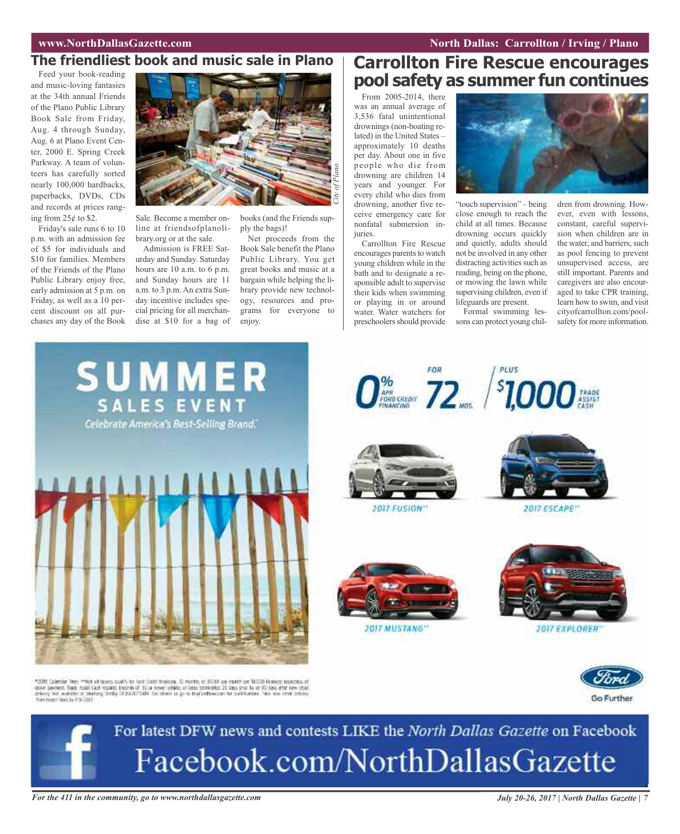### **www.NorthDallasGazette.com NorthDallasGazette.com North Dallas: Carrollton** / **Irving** / **Plano**

### **The friendliest book and music sale in Plano**

Feed your book-reading and music-loving fantasies at the 34th annual Friends of the Plano Public Library Book Sale from Friday, Aug. 4 through Sunday, Aug. 6 at Plano Event Center, 2000 E. Spring Creek Parkway. A team of volunteers has carefully sorted nearly 100,000 hardbacks, paperbacks, DVDs, CDs and records at prices ranging from 25¢ to \$2.

Friday's sale runs 6 to 10 p.m. with an admission fee of \$5 for individuals and \$10 for families. Members of the Friends of the Plano Public Library enjoy free, early admission at 5 p.m. on Friday, as well as a 10 percent discount on all purchases any day of the Book



Sale. Become a member online at friendsofplanolibrary.org or at the sale.

Admission is FREE Saturday and Sunday. Saturday hours are 10 a.m. to 6 p.m. and Sunday hours are 11 a.m. to 3 p.m. An extra Sunday incentive includes special pricing for all merchandise at \$10 for a bag of

books (and the Friends supply the bags)!

Net proceeds from the Book Sale benefit the Plano Public Library. You get great books and music at a bargain while helping the library provide new technology, resources and programs for everyone to enjoy.

### **Carrollton Fire Rescue encourages pool safety as summer fun continues**

From 2005-2014, there was an annual average of 3,536 fatal unintentional drownings (non-boating related) in the United States – approximately 10 deaths per day. About one in five people who die from drowning are children 14 years and younger. For every child who dies from drowning, another five receive emergency care for nonfatal submersion injuries.

Carrollton Fire Rescue encourages parents to watch young children while in the bath and to designate a responsible adult to supervise their kids when swimming or playing in or around water. Water watchers for preschoolers should provide



"touch supervision" – being close enough to reach the child at all times. Because drowning occurs quickly and quietly, adults should not be involved in any other distracting activities such as reading, being on the phone, or mowing the lawn while supervising children, even if lifeguards are present.

Formal swimming lessons can protect young chil-

**PRODUCED TRANSPORT 72 AND STRANGE** 

dren from drowning. However, even with lessons, constant, careful supervision when children are in the water, and barriers, such as pool fencing to prevent unsupervised access, are still important. Parents and caregivers are also encouraged to take CPR training, learn how to swim, and visit cityofcarrollton.com/poolsafety for more information.



\*Zijn talende Vest \*\*Kot at toers meth to het fiedt treatre. Si motte, at 50.00 as norst as 10000 histop maches of<br>door dernest Taak Asia Code codes testen of 30 or nevel while, of tasy printerip. It days mot to or 30 days from the senior Mark Tw 3234 (2013)



2017 MUSTANS\*\*



**2017 EXPLORER** 



# For latest DFW news and contests LIKE the North Dallas Gazette on Facebook Facebook.com/NorthDallasGazette

For the 411 in the community, go to www.northdallasgazette.com July 20-26, 2017 | North Dallas Gazette | 7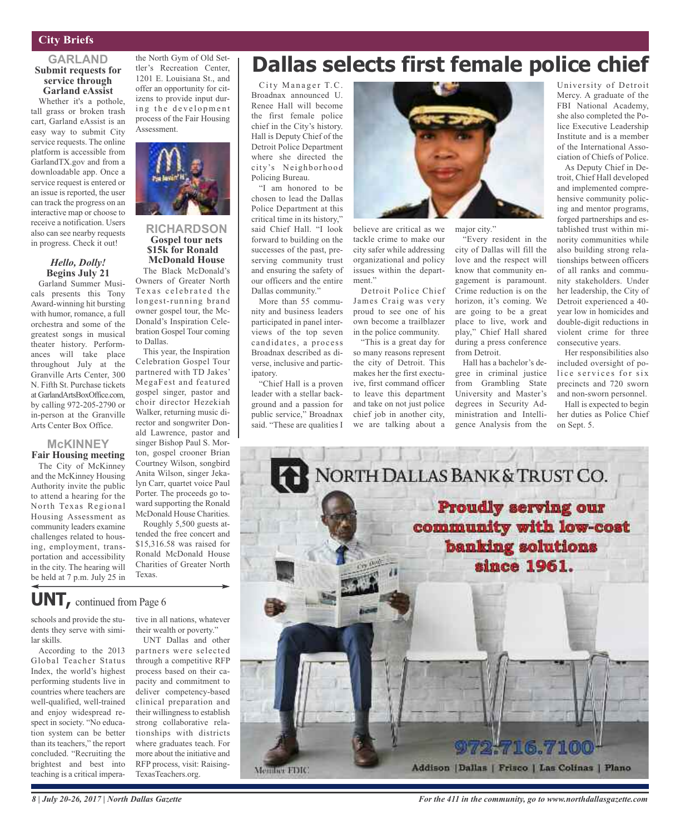### **City Briefs**

### **GARLAND Submit requests for service through Garland eAssist**

Whether it's a pothole, tall grass or broken trash cart, Garland eAssist is an easy way to submit City service requests. The online platform is accessible from GarlandTX.gov and from a downloadable app. Once a service request is entered or an issue is reported, the user can track the progress on an interactive map or choose to receive a notification. Users also can see nearby requests in progress. Check it out!

#### *Hello, Dolly!* **Begins July 21**

Garland Summer Musicals presents this Tony Award-winning hit bursting with humor, romance, a full orchestra and some of the greatest songs in musical theater history. Performances will take place throughout July at the Granville Arts Center, 300 N. Fifth St. Purchase tickets at GarlandArtsBoxOffice.com, by calling 972-205-2790 or in-person at the Granville Arts Center Box Office.

### **McKINNEY Fair Housing meeting**

The City of McKinney and the McKinney Housing Authority invite the public to attend a hearing for the North Texas Regional Housing Assessment as community leaders examine challenges related to housing, employment, transportation and accessibility in the city. The hearing will be held at 7 p.m. July 25 in

the North Gym of Old Settler's Recreation Center, 1201 E. Louisiana St., and offer an opportunity for citizens to provide input during the development process of the Fair Housing Assessment.



### **RICHARDSON Gospel tour nets \$15k for Ronald McDonald House**

The Black McDonald's Owners of Greater North Texas celebrated the longest-running brand owner gospel tour, the Mc-Donald's Inspiration Celebration Gospel Tour coming to Dallas.

This year, the Inspiration Celebration Gospel Tour partnered with TD Jakes' MegaFest and featured gospel singer, pastor and choir director Hezekiah Walker, returning music director and songwriter Donald Lawrence, pastor and singer Bishop Paul S. Morton, gospel crooner Brian Courtney Wilson, songbird Anita Wilson, singer Jekalyn Carr, quartet voice Paul Porter. The proceeds go toward supporting the Ronald McDonald House Charities.

Roughly 5,500 guests attended the free concert and \$15,316.58 was raised for Ronald McDonald House Charities of Greater North Texas.

## **Dallas selects first female police chief**

City Manager T.C. Broadnax announced U. Renee Hall will become the first female police chief in the City's history. Hall is Deputy Chief of the Detroit Police Department where she directed the city's Neighborhood Policing Bureau.

"I am honored to be chosen to lead the Dallas Police Department at this critical time in its history," said Chief Hall. "I look forward to building on the successes of the past, preserving community trust and ensuring the safety of our officers and the entire Dallas community."

More than 55 community and business leaders participated in panel interviews of the top seven candidates, a process Broadnax described as diverse, inclusive and participatory.

"Chief Hall is a proven leader with a stellar background and a passion for public service," Broadnax said. "These are qualities I



believe are critical as we tackle crime to make our city safer while addressing organizational and policy issues within the department"

Detroit Police Chief James Craig was very proud to see one of his own become a trailblazer in the police community.

"This is a great day for so many reasons represent the city of Detroit. This makes her the first exectuive, first command officer to leave this department and take on not just police chief job in another city, we are talking about a

major city."

"Every resident in the city of Dallas will fill the love and the respect will know that community engagement is paramount. Crime reduction is on the horizon, it's coming. We are going to be a great place to live, work and play," Chief Hall shared during a press conference from Detroit.

Hall has a bachelor's degree in criminal justice from Grambling State University and Master's degrees in Security Administration and Intelligence Analysis from the University of Detroit Mercy. A graduate of the FBI National Academy, she also completed the Police Executive Leadership Institute and is a member of the International Association of Chiefs of Police.

As Deputy Chief in Detroit, Chief Hall developed and implemented comprehensive community policing and mentor programs, forged partnerships and established trust within minority communities while also building strong relationships between officers of all ranks and community stakeholders. Under her leadership, the City of Detroit experienced a 40 year low in homicides and double-digit reductions in violent crime for three consecutive years.

Her responsibilities also included oversight of police services for six precincts and 720 sworn and non-sworn personnel.

Hall is expected to begin her duties as Police Chief on Sept. 5.



## **UNT,** continued from Page <sup>6</sup>

schools and provide the students they serve with similar skills.

According to the 2013 Global Teacher Status Index, the world's highest performing students live in countries where teachers are well-qualified, well-trained and enjoy widespread respect in society. "No education system can be better than its teachers," the report concluded. "Recruiting the brightest and best into teaching is a critical imperative in all nations, whatever their wealth or poverty."

UNT Dallas and other partners were selected through a competitive RFP process based on their capacity and commitment to deliver competency-based clinical preparation and their willingness to establish strong collaborative relationships with districts where graduates teach. For more about the initiative and RFP process, visit: Raising-TexasTeachers.org.

*For the 411 in the community, go to www.northdallasgazette.com*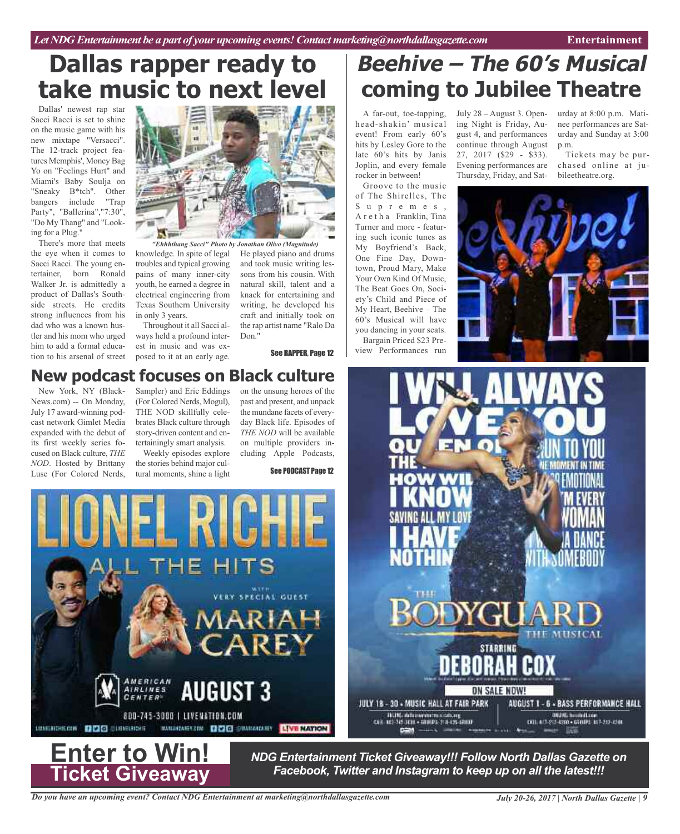## **Dallas rapper ready to take music to next level**

Dallas' newest rap star Sacci Racci is set to shine on the music game with his new mixtape "Versacci". The 12-track project features Memphis', Money Bag Yo on "Feelings Hurt" and Miami's Baby Soulja on "Sneaky B\*tch". Other bangers include "Trap Party", "Ballerina","7:30", "Do My Thang" and "Looking for a Plug."

There's more that meets the eye when it comes to Sacci Racci. The young entertainer, born Ronald Walker Jr. is admittedly a product of Dallas's Southside streets. He credits strong influences from his dad who was a known hustler and his mom who urged him to add a formal education to his arsenal of street

New York, NY (Black-News.com) -- On Monday, July 17 award-winning podcast network Gimlet Media expanded with the debut of its first weekly series focused on Black culture, *THE NOD*. Hosted by Brittany Luse (For Colored Nerds,



*"Ehhhthang Sacci" Photo by Jonathan Olivo (Magnitude)*

knowledge. In spite of legal He played piano and drums troubles and typical growing pains of many inner-city youth, he earned a degree in electrical engineering from Texas Southern University in only 3 years.

Throughout it all Sacci always held a profound interest in music and was exposed to it at an early age.

Sampler) and Eric Eddings (For Colored Nerds, Mogul), THE NOD skillfully celebrates Black culture through story-driven content and entertainingly smart analysis. Weekly episodes explore the stories behind major cultural moments, shine a light

and took music writing lessons from his cousin. With natural skill, talent and a knack for entertaining and writing, he developed his craft and initially took on the rap artist name "Ralo Da Don."

See RAPPER, Page 12

# **Beehive – The 60's Musical coming to Jubilee Theatre**

A far-out, toe-tapping, head-shakin' musical event! From early 60's hits by Lesley Gore to the late 60's hits by Janis Joplin, and every female rocker in between!

Groove to the music of The Shirelles, The S u p r e m e s , A r e t h a Franklin, Tina Turner and more - featuring such iconic tunes as My Boyfriend's Back, One Fine Day, Downtown, Proud Mary, Make Your Own Kind Of Music, The Beat Goes On, Society's Child and Piece of My Heart, Beehive – The 60's Musical will have you dancing in your seats. Bargain Priced \$23 Pre-

view Performances run

July 28 – August 3. Open-urday at 8:00 p.m. Matiing Night is Friday, August 4, and performances continue through August 27, 2017 (\$29 - \$33). Evening performances are Thursday, Friday, and Sat-

nee performances are Saturday and Sunday at 3:00 p.m.

Tickets may be purchased online at jubileetheatre.org.





**Enter to Win! Ticket Giveaway**

*NDG Entertainment Ticket Giveaway!!! Follow North Dallas Gazette on Facebook, Twitter and Instagram to keep up on all the latest!!!*

800-745-3000 | LIVENATION.COM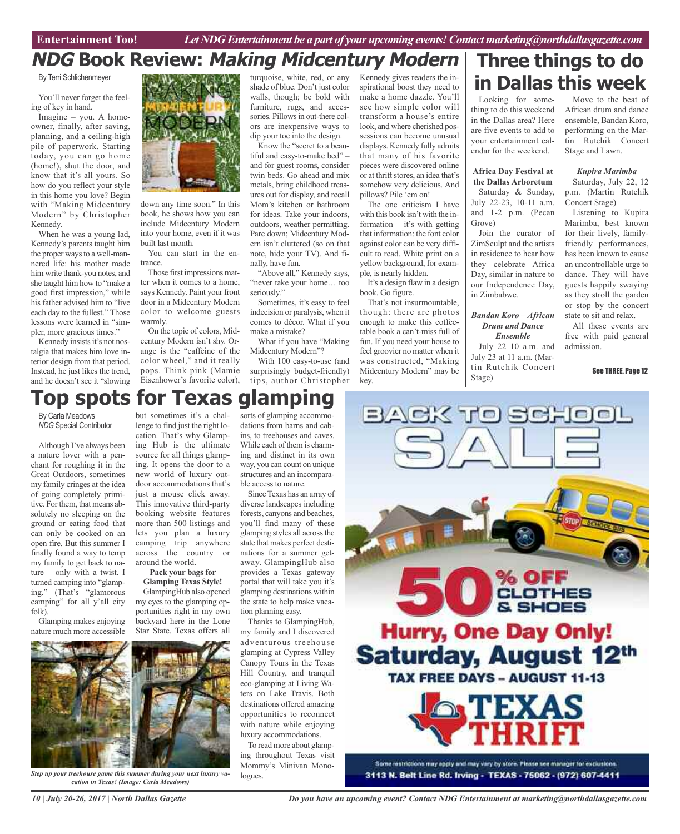**Car Review Entertainment Too!** *Let NDG Entertainment be a part of your upcoming events!Contactmarketing@northdallasgazette.com*

## **NDG Book Review: Making Midcentury Modern Three things to do**

By Terri Schlichenmeyer

You'll never forget the feeling of key in hand.

Imagine – you. A homeowner, finally, after saving, planning, and a ceiling-high pile of paperwork. Starting today, you can go home (home!), shut the door, and know that it's all yours. So how do you reflect your style in this home you love? Begin with "Making Midcentury Modern" by Christopher Kennedy.

When he was a young lad, Kennedy's parents taught him the proper ways to a well-mannered life: his mother made him write thank-you notes, and she taught him how to "make a good first impression," while his father advised him to "live each day to the fullest." Those lessons were learned in "simpler, more gracious times."

Kennedy insists it's not nostalgia that makes him love interior design from that period. Instead, he just likes the trend, and he doesn't see it "slowing



down any time soon." In this book, he shows how you can include Midcentury Modern into your home, even if it was built last month.

You can start in the entrance.

Those first impressions matter when it comes to a home, says Kennedy. Paint your front door in a Midcentury Modern color to welcome guests warmly.

On the topic of colors, Midcentury Modern isn't shy. Orange is the "caffeine of the color wheel," and it really pops. Think pink (Mamie Eisenhower's favorite color), turquoise, white, red, or any shade of blue. Don't just color walls, though; be bold with furniture, rugs, and accessories. Pillows in out-there colors are inexpensive ways to dip your toe into the design.

Know the "secret to a beautiful and easy-to-make bed" – and for guest rooms, consider twin beds. Go ahead and mix metals, bring childhood treasures out for display, and recall Mom's kitchen or bathroom for ideas. Take your indoors, outdoors, weather permitting. Pare down; Midcentury Modern isn't cluttered (so on that note, hide your TV). And finally, have fun.

"Above all," Kennedy says, "never take your home… too seriously."

Sometimes, it's easy to feel indecision or paralysis, when it comes to décor. What if you make a mistake?

What if you have "Making Midcentury Modern"?

With 100 easy-to-use (and surprisingly budget-friendly) tips, author Christopher

Kennedy gives readers the inspirational boost they need to make a home dazzle. You'll see how simple color will transform a house's entire look, and where cherished possessions can become unusual displays. Kennedy fully admits that many of his favorite pieces were discovered online or at thrift stores, an idea that's somehow very delicious. And pillows? Pile 'em on!

The one criticism I have with this book isn't with the information  $-$  it's with getting that information: the font color against color can be very difficult to read. White print on a yellow background, for example, is nearly hidden.

It's a design flaw in a design book. Go figure.

That's not insurmountable, though: there are photos enough to make this coffeetable book a can't-miss full of fun. If you need your house to feel groovier no matter when it was constructed, "Making Midcentury Modern" may be key.

# **in Dallas this week** Looking for some-

thing to do this weekend in the Dallas area? Here are five events to add to your entertainment calendar for the weekend.

**Africa Day Festival at the Dallas Arboretum** Saturday & Sunday, July 22-23, 10-11 a.m. and 1-2 p.m. (Pecan

Join the curator of ZimSculpt and the artists in residence to hear how they celebrate Africa Day, similar in nature to our Independence Day,

*Bandan Koro – African Drum and Dance Ensemble* July 22 10 a.m. and July 23 at 11 a.m. (Martin Rutchik Concert

Grove)

in Zimbabwe.

Stage)

Move to the beat of African drum and dance ensemble, Bandan Koro, performing on the Martin Rutchik Concert Stage and Lawn.

#### *Kupira Marimba*

Saturday, July 22, 12 p.m. (Martin Rutchik Concert Stage)

Listening to Kupira Marimba, best known for their lively, familyfriendly performances, has been known to cause an uncontrollable urge to dance. They will have guests happily swaying as they stroll the garden or stop by the concert state to sit and relax.

All these events are free with paid general admission.

See THREE, Page 12

# **Top spots for Texas glamping**

By Carla Meadows *NDG* Special Contributor

Although I've always been a nature lover with a penchant for roughing it in the Great Outdoors, sometimes my family cringes at the idea of going completely primitive. For them, that means absolutely no sleeping on the ground or eating food that can only be cooked on an open fire. But this summer I finally found a way to temp my family to get back to nature – only with a twist. I turned camping into "glamping." (That's "glamorous camping" for all y'all city folk).

Glamping makes enjoying nature much more accessible



Step *up* your *treehouse* game *this summer during your next luxury*  $va-$  logues. *cation in Texas! (Image: Carla Meadows)*

lenge to find just the right location. That's why Glamping Hub is the ultimate source for all things glamping. It opens the door to a new world of luxury outdoor accommodations that's just a mouse click away. This innovative third-party booking website features more than 500 listings and lets you plan a luxury camping trip anywhere across the country or around the world.

#### **Pack your bags for Glamping Texas Style!**

GlampingHub also opened my eyes to the glamping opportunities right in my own backyard here in the Lone Star State. Texas offers all

but sometimes it's a chal-sorts of glamping accommodations from barns and cabins, to treehouses and caves. While each of them is charming and distinct in its own way, you can count on unique structures and an incomparable access to nature.

> Since Texas has an array of diverse landscapes including forests, canyons and beaches, you'll find many of these glamping styles all across the state that makes perfect destinations for a summer getaway. GlampingHub also provides a Texas gateway portal that will take you it's glamping destinations within the state to help make vacation planning easy.

> Thanks to GlampingHub, my family and I discovered adventurous treehouse glamping at Cypress Valley Canopy Tours in the Texas Hill Country, and tranquil eco-glamping at Living Waters on Lake Travis. Both destinations offered amazing opportunities to reconnect with nature while enjoying luxury accommodations.

To read more about glamping throughout Texas visit Mommy's Minivan Mono-



*Do you have an upcoming event? Contact NDG Entertainment at marketing@northdallasgazette.com*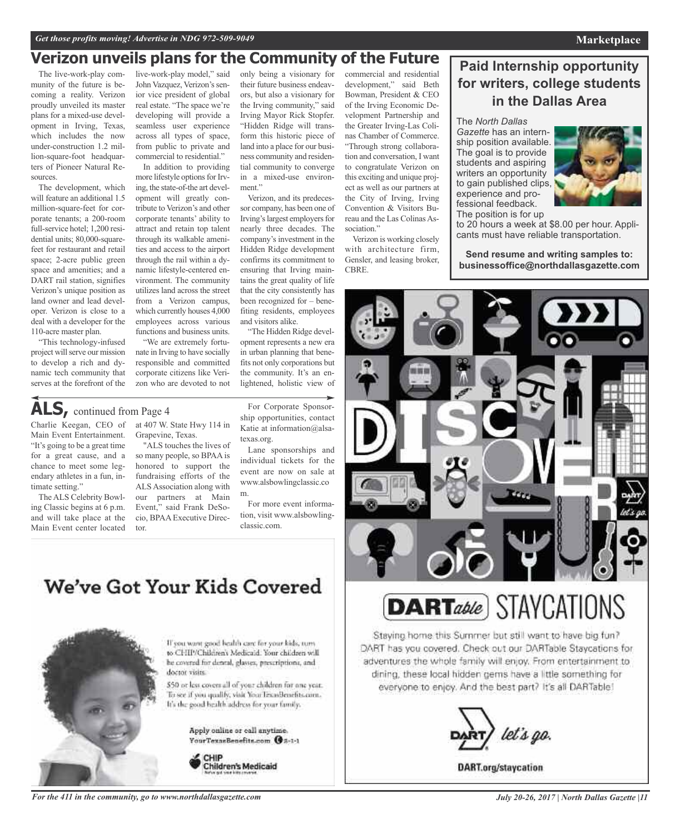### **Verizon unveils plans for the Community of the Future**

ment."

only being a visionary for their future business endeavors, but also a visionary for the Irving community," said Irving Mayor Rick Stopfer. "Hidden Ridge will transform this historic piece of land into a place for our business community and residential community to converge in a mixed-use environ-

Verizon, and its predecessor company, has been one of Irving's largest employers for nearly three decades. The company's investment in the Hidden Ridge development confirms its commitment to ensuring that Irving maintains the great quality of life that the city consistently has been recognized for – benefiting residents, employees

The live-work-play community of the future is becoming a reality. Verizon proudly unveiled its master plans for a mixed-use development in Irving, Texas, which includes the now under-construction 1.2 million-square-foot headquarters of Pioneer Natural Resources.

The development, which will feature an additional 1.5 million-square-feet for corporate tenants; a 200-room full-service hotel; 1,200 residential units; 80,000-squarefeet for restaurant and retail space; 2-acre public green space and amenities; and a DART rail station, signifies Verizon's unique position as land owner and lead developer. Verizon is close to a deal with a developer for the 110-acre master plan.

"This technology-infused project will serve our mission to develop a rich and dynamic tech community that serves at the forefront of the

live-work-play model," said John Vazquez, Verizon's senior vice president of global real estate. "The space we're developing will provide a seamless user experience across all types of space, from public to private and commercial to residential."

In addition to providing more lifestyle options for Irving, the state-of-the art development will greatly contribute to Verizon's and other corporate tenants' ability to attract and retain top talent through its walkable amenities and access to the airport through the rail within a dynamic lifestyle-centered environment. The community utilizes land across the street from a Verizon campus, which currently houses 4,000 employees across various functions and business units.

"We are extremely fortunate in Irving to have socially responsible and committed corporate citizens like Verizon who are devoted to not

## **ALS,** continued from Page <sup>4</sup>

Charlie Keegan, CEO of at 407 W. State Hwy 114 in Main Event Entertainment. "It's going to be a great time for a great cause, and a chance to meet some legendary athletes in a fun, intimate setting."

The ALS Celebrity Bowling Classic begins at 6 p.m. and will take place at the Main Event center located

### Grapevine, Texas. texas.org.

"ALS touches the lives of so many people, so BPAA is honored to support the fundraising efforts of the ALS Association along with our partners at Main Event," said Frank DeSocio, BPAA Executive Director.

For Corporate Sponsorship opportunities, contact Katie at information@alsa-

"The Hidden Ridge development represents a new era in urban planning that benefits not only corporations but the community. It's an enlightened, holistic view of

and visitors alike.

Lane sponsorships and individual tickets for the event are now on sale at www.alsbowlingclassic.co m.

For more event information, visit www.alsbowlingclassic.com.

commercial and residential development," said Beth Bowman, President & CEO of the Irving Economic Development Partnership and the Greater Irving-Las Colinas Chamber of Commerce. "Through strong collaboration and conversation, I want to congratulate Verizon on this exciting and unique project as well as our partners at the City of Irving, Irving Convention & Visitors Bureau and the Las Colinas Association."

Verizon is working closely with architecture firm, Gensler, and leasing broker, CBRE.

### **Paid Internship opportunity for writers, college students in the Dallas Area**

The *North Dallas Gazette* has an internship position available. The goal is to provide students and aspiring writers an opportunity to gain published clips, experience and professional feedback. The position is for up



to 20 hours a week at \$8.00 per hour. Applicants must have reliable transportation.

**Send resume and writing samples to: businessoffice@northdallasgazette.com**



Staying home this Summer but still want to have big fun? DART has you covered. Check out our DARTable Staycations for adventures the whole family will enjoy. From entertainment to dining, these local hidden gems have a little something for everyone to enjoy. And the best part? It's all DARTable!



**DART.org/staycation** 

## We've Got Your Kids Covered



If you want good health care for your kids, turnto CHIP/Children's Medicaid. Your children will he covered for dental, glasses, prescriptions, and doctor visits.

\$50 or less covers all of your children for one year. To see if you qualify, visit Your TexasBenefits.com. It's the good bealth address for your family.

> Apply online or call anytime. YourTexasBenefits.com @8-1-1



*For the 411 in the community, go to www.northdallasgazette.com*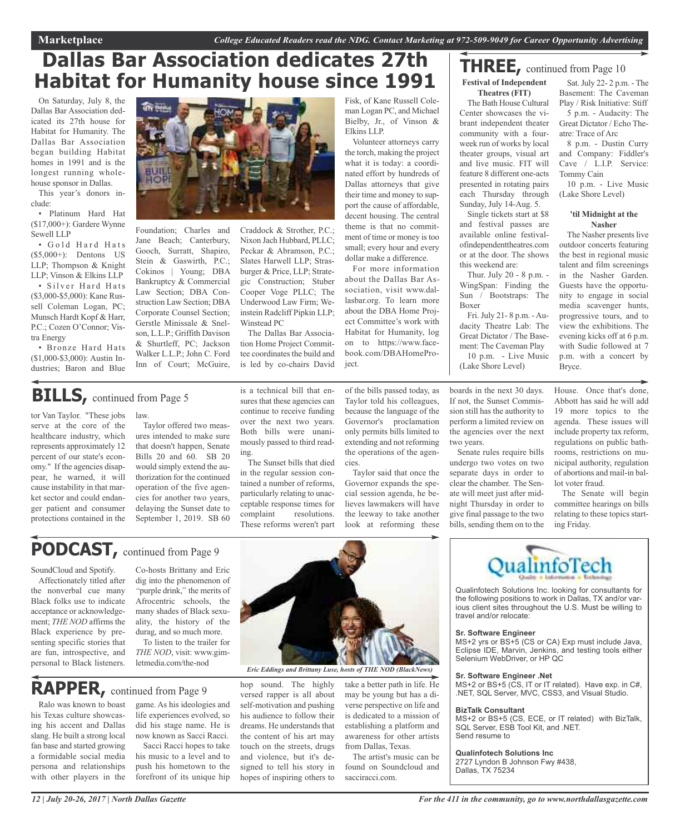## **Dallas Bar Association dedicates 27th Habitat for Humanity house since 1991**

On Saturday, July 8, the Dallas Bar Association dedicated its 27th house for Habitat for Humanity. The Dallas Bar Association began building Habitat homes in 1991 and is the longest running wholehouse sponsor in Dallas.

This year's donors include:

• Platinum Hard Hat (\$17,000+): Gardere Wynne Sewell LLP

• Gold Hard Hats (\$5,000+): Dentons US LLP; Thompson & Knight LLP; Vinson & Elkins LLP

• Silver Hard Hats (\$3,000-\$5,000): Kane Russell Coleman Logan, PC; Munsch Hardt Kopf & Harr, P.C.; Cozen O'Connor; Vistra Energy

• Bronze Hard Hats (\$1,000-\$3,000): Austin Industries; Baron and Blue

Foundation; Charles and Jane Beach; Canterbury, Gooch, Surratt, Shapiro, Stein & Gaswirth, P.C.; Cokinos | Young; DBA Bankruptcy & Commercial Law Section; DBA Construction Law Section; DBA Corporate Counsel Section; Gerstle Minissale & Snelson, L.L.P.; Griffith Davison

Off the

Craddock & Strother, P.C.; Nixon Jach Hubbard, PLLC; Peckar & Abramson, P.C.; Slates Harwell LLP; Strasburger & Price, LLP; Strategic Construction; Stuber Cooper Voge PLLC; The Underwood Law Firm; Weinstein Radcliff Pipkin LLP; Winstead PC

The Dallas Bar Association Home Project Committee coordinates the build and is led by co-chairs David

## **BILLS, continued from Page 5**

tor Van Taylor. "These jobs serve at the core of the healthcare industry, which represents approximately 12 percent of our state's economy." If the agencies disappear, he warned, it will cause instability in that market sector and could endanger patient and consumer protections contained in the

law. Taylor offered two measures intended to make sure that doesn't happen, Senate Bills 20 and 60. SB 20 would simply extend the authorization for the continued operation of the five agencies for another two years, delaying the Sunset date to September 1, 2019. SB 60

& Shurtleff, PC; Jackson Walker L.L.P.; John C. Ford Inn of Court; McGuire,

> is a technical bill that ensures that these agencies can continue to receive funding over the next two years. Both bills were unanimously passed to third reading.

> The Sunset bills that died in the regular session contained a number of reforms, particularly relating to unacceptable response times for complaint resolutions. These reforms weren't part

Fisk, of Kane Russell Coleman Logan PC, and Michael Bielby, Jr., of Vinson & Elkins LLP.

Volunteer attorneys carry the torch, making the project what it is today: a coordinated effort by hundreds of Dallas attorneys that give their time and money to support the cause of affordable, decent housing. The central theme is that no commitment of time or money istoo small; every hour and every dollar make a difference.

For more information about the Dallas Bar Association, visit www.dallasbar.org. To learn more about the DBA Home Project Committee's work with Habitat for Humanity, log on to https://www.facebook.com/DBAHomeProject.

of the bills passed today, as Taylor told his colleagues, because the language of the Governor's proclamation only permits bills limited to extending and not reforming the operations of the agencies.

Taylor said that once the Governor expands the special session agenda, he believes lawmakers will have the leeway to take another look at reforming these boards in the next 30 days. If not, the Sunset Commission still has the authority to perform a limited review on the agencies over the next two years.

(Lake Shore Level)

this weekend are:

Boxer

Thur. July 20 - 8 p.m. - WingSpan: Finding the Sun / Bootstraps: The

Fri.July 21- 8 p.m. -Audacity Theatre Lab: The Great Dictator / The Basement: The Caveman Play 10 p.m. - Live Music

**Festival of Independent Theatres (FIT)** The Bath House Cultural Center showcases the vibrant independent theater community with a fourweek run of works by local theater groups, visual art and live music. FIT will feature 8 different one-acts presented in rotating pairs each Thursday through Sunday, July 14-Aug. 5. Single tickets start at \$8 and festival passes are available online festivalofindependenttheatres.com or at the door. The shows

Senate rules require bills undergo two votes on two separate days in order to clear the chamber. The Senate will meet just after midnight Thursday in order to give final passage to the two bills, sending them on to the

**THREE,** continued from Page <sup>10</sup> Sat.July 22- 2 p.m. - The Basement: The Caveman Play / Risk Initiative: Stiff

5 p.m. - Audacity: The Great Dictator / Echo Theatre: Trace of Arc 8 p.m. - Dustin Curry

and Company: Fiddler's Cave / L.I.P. Service: Tommy Cain

10 p.m. - Live Music (Lake Shore Level)

#### **'til Midnight at the Nasher**

The Nasher presents live outdoor concerts featuring the best in regional music talent and film screenings in the Nasher Garden. Guests have the opportunity to engage in social media scavenger hunts, progressive tours, and to view the exhibitions. The evening kicks off at 6 p.m. with Sudie followed at 7 p.m. with a concert by Bryce.

House. Once that's done, Abbott has said he will add 19 more topics to the agenda. These issues will include property tax reform, regulations on public bathrooms, restrictions on municipal authority, regulation of abortions and mail-in ballot voter fraud.

The Senate will begin committee hearings on bills relating to these topics starting Friday.

## PODCAST, continued from Page 9

SoundCloud and Spotify.

Affectionately titled after the nonverbal cue many Black folks use to indicate acceptance or acknowledgement; *THE NOD* affirms the Black experience by presenting specific stories that are fun, introspective, and personal to Black listeners.

Co-hosts Brittany and Eric dig into the phenomenon of "purple drink," the merits of Afrocentric schools, the many shades of Black sexuality, the history of the durag, and so much more. To listen to the trailer for

*THE NOD*, visit: www.gimletmedia.com/the-nod

## **RAPPER,** continued from Page <sup>9</sup>

Ralo was known to boast his Texas culture showcasing his accent and Dallas slang. He built a strong local fan base and started growing a formidable social media persona and relationships with other players in the

game. As his ideologies and life experiences evolved, so did his stage name. He is now known as Sacci Racci.

Sacci Racci hopes to take his music to a level and to push his hometown to the forefront of its unique hip



*Eric Eddings and Brittany Luse, hosts of THE NOD (BlackNews)*

hop sound. The highly versed rapper is all about self-motivation and pushing his audience to follow their dreams. He understands that the content of his art may touch on the streets, drugs and violence, but it's designed to tell his story in hopes of inspiring others to

take a better path in life. He may be young but has a diverse perspective on life and is dedicated to a mission of establishing a platform and awareness for other artists from Dallas, Texas.

The artist's music can be found on Soundcloud and sacciracci.com.



Qualinfotech Solutions Inc. looking for consultants for the following positions to work in Dallas, TX and/or various client sites throughout the U.S. Must be willing to travel and/or relocate:

#### **Sr. Software Engineer**

MS+2 yrs or BS+5 (CS or CA) Exp must include Java, Eclipse IDE, Marvin, Jenkins, and testing tools either Selenium WebDriver, or HP QC

#### **Sr. Software Engineer .Net**

MS+2 or BS+5 (CS, IT or IT related). Have exp. in C#, .NET, SQL Server, MVC, CSS3, and Visual Studio.

#### **BizTalk Consultant**

MS+2 or BS+5 (CS, ECE, or IT related) with BizTalk, SQL Server, ESB Tool Kit, and .NET. Send resume to

#### **Qualinfotech Solutions Inc**

2727 Lyndon B Johnson Fwy #438,

Dallas, TX 75234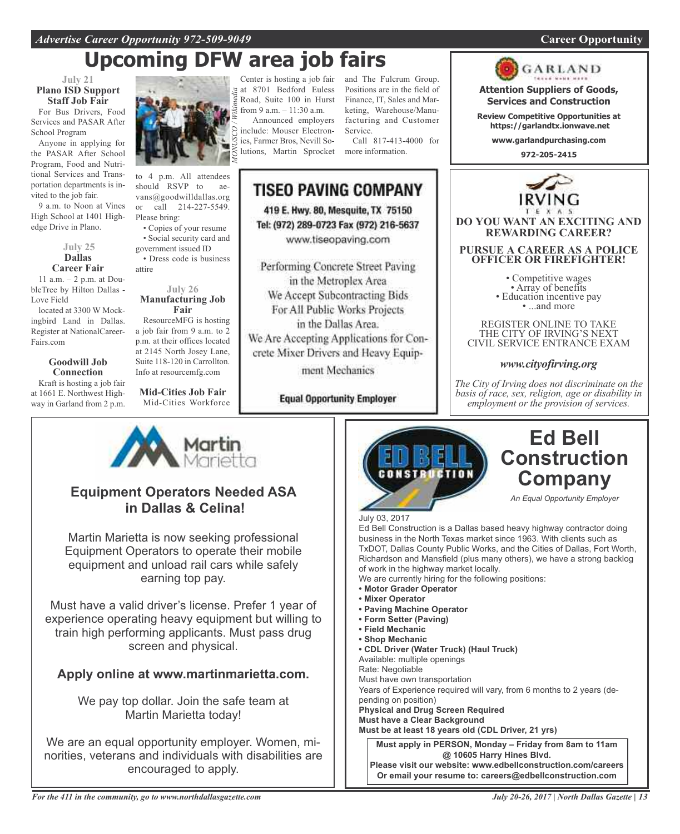### *Advertise Career Opportunity 972-509-9049* **Career Opportunity**

## **Upcoming DFW area job fairs**

### **July 21 Plano ISD Support Staff Job Fair**

For Bus Drivers, Food Services and PASAR After School Program

Anyone in applying for the PASAR After School Program, Food and Nutritional Services and Transportation departments is invited to the job fair.

9 a.m. to Noon at Vines High School at 1401 Highedge Drive in Plano.

### **July 25 Dallas Career Fair**

11 a.m. – 2 p.m. at DoubleTree by Hilton Dallas - Love Field

located at 3300 W Mockingbird Land in Dallas. Register at NationalCareer-Fairs.com

### **Goodwill Job Connection**

Kraft is hosting a job fair at 1661 E. Northwest Highway in Garland from 2 p.m.



to 4 p.m. All attendees should RSVP to aevans@goodwilldallas.org or call 214-227-5549. Please bring:

• Copies of your resume • Social security card and government issued ID

• Dress code is business attire

#### **July 26 Manufacturing Job Fair**

ResourceMFG is hosting a job fair from 9 a.m. to 2 p.m. at their offices located at 2145 North Josey Lane, Suite 118-120 in Carrollton. Info at resourcemfg.com

**Mid-Cities Job Fair** Mid-Cities Workforce

Center is hosting a job fair and The Fulcrum Group. at 8701 Bedford Euless Road, Suite 100 in Hurst from 9 a.m. – 11:30 a.m.

Announced employers include: Mouser Electronics, Farmer Bros, Nevill So- $\sum_{k=1}^{\infty}$  lutions, Martin Sprocket *US CO*

Positions are in the field of Finance, IT, Sales and Marketing, Warehouse/Manufacturing and Customer Service.

Call 817-413-4000 for more information.

### TISEO PAVING COMPANY

419 E. Hwy. 80, Mesquite, TX 75150 Tel: (972) 289-0723 Fax (972) 216-5637 www.tiseopaving.com

Performing Concrete Street Paving in the Metroplex Area We Accept Subcontracting Bids For All Public Works Projects in the Dallas Area. We Are Accepting Applications for Concrete Mixer Drivers and Heavy Equip-

ment Mechanics

**Equal Opportunity Employer** 



**Review Competitive Opportunities at https://garlandtx.ionwave.net**

**www.garlandpurchasing.com**

**972-205-2415**



**DO YOU WANT AN EXCITING AND REWARDING CAREER?**

**PURSUE A CAREER AS A POLICE OFFICER OR FIREFIGHTER!**

• Competitive wages<br>• Array of benefits<br>• Education incentive pay<br>• ...and more

REGISTER ONLINE TO TAKE THE CITY OF IRVING'S NEXT CIVIL SERVICE ENTRANCE EXAM

### *www.cityofirving.org*

*The City of Irving does not discriminate on the basis of race, sex, religion, age or disability in employment or the provision of services.*



### **Equipment Operators Needed ASA in Dallas & Celina!**

Martin Marietta is now seeking professional Equipment Operators to operate their mobile equipment and unload rail cars while safely earning top pay.

Must have a valid driver's license. Prefer 1 year of experience operating heavy equipment but willing to train high performing applicants. Must pass drug screen and physical.

### **Apply online at www.martinmarietta.com.**

We pay top dollar. Join the safe team at Martin Marietta today!

We are an equal opportunity employer. Women, minorities, veterans and individuals with disabilities are encouraged to apply.



## **Ed Bell Construction Company**

*An Equal Opportunity Employer*

July 03, 2017

Ed Bell Construction is a Dallas based heavy highway contractor doing business in the North Texas market since 1963. With clients such as TxDOT, Dallas County Public Works, and the Cities of Dallas, Fort Worth, Richardson and Mansfield (plus many others), we have a strong backlog of work in the highway market locally.

We are currently hiring for the following positions:

- **• Motor Grader Operator**
- **• Mixer Operator**
- **• Paving Machine Operator**
- **• Form Setter (Paving) • Field Mechanic**
- **• Shop Mechanic**
- **• CDL Driver (Water Truck) (Haul Truck)**

Available: multiple openings

Rate: Negotiable

Must have own transportation

Years of Experience required will vary, from 6 months to 2 years (de-

pending on position) **Physical and Drug Screen Required**

**Must have a Clear Background**

**Must be at least 18 years old (CDL Driver, 21 yrs)**

**Must apply in PERSON, Monday – Friday from 8am to 11am @ 10605 Harry Hines Blvd. Please visit our website: www.edbellconstruction.com/careers Or email your resume to: careers@edbellconstruction.com**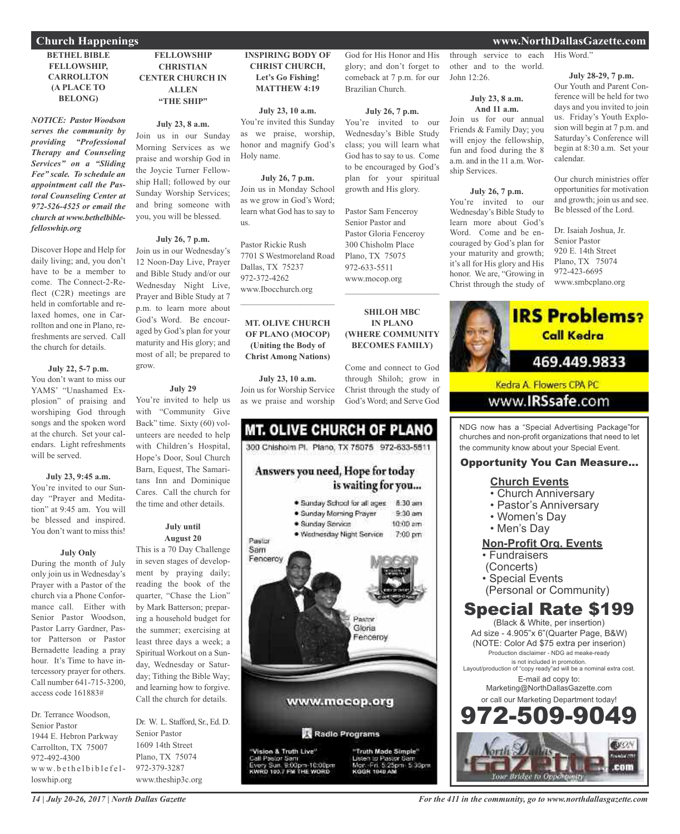### **BETHEL BIBLE FELLOWSHIP, CARROLLTON (A PLACE TO BELONG)**

*NOTICE: Pastor Woodson serves the community by providing "Professional Therapy and Counseling Services" on a "Sliding Fee" scale. To schedule an appointment call the Pastoral Counseling Center at 972-526-4525 or email the church at www.bethelbiblefelloswhip.org*

Discover Hope and Help for daily living; and, you don't have to be a member to come. The Connect-2-Reflect (C2R) meetings are held in comfortable and relaxed homes, one in Carrollton and one in Plano, refreshments are served. Call the church for details.

#### **July 22, 5-7 p.m.**

You don't want to miss our YAMS' "Unashamed Explosion" of praising and worshiping God through songs and the spoken word at the church. Set your calendars. Light refreshments will be served.

#### **July 23, 9:45 a.m.**

You're invited to our Sunday "Prayer and Meditation" at 9:45 am. You will be blessed and inspired. You don't want to miss this!

#### **July Only**

During the month of July only join us in Wednesday's Prayer with a Pastor of the church via a Phone Conformance call. Either with Senior Pastor Woodson, Pastor Larry Gardner, Pastor Patterson or Pastor Bernadette leading a pray hour. It's Time to have intercessory prayer for others. Call number 641-715-3200, access code 161883#

Dr. Terrance Woodson, Senior Pastor 1944 E. Hebron Parkway Carrollton, TX 75007 972-492-4300 www.bethelbiblefelloswhip.org

### **FELLOWSHIP CHRISTIAN CENTER CHURCH IN ALLEN "THE SHIP"**

**July 23, 8 a.m.**

Join us in our Sunday Morning Services as we praise and worship God in the Joycie Turner Fellowship Hall; followed by our Sunday Worship Services; and bring someone with you, you will be blessed.

#### **July 26, 7 p.m.**

Join us in our Wednesday's 12 Noon-Day Live, Prayer and Bible Study and/or our Wednesday Night Live, Prayer and Bible Study at 7 p.m. to learn more about God's Word. Be encouraged by God's plan for your maturity and His glory; and most of all; be prepared to grow.

### **July 29**

You're invited to help us with "Community Give Back" time. Sixty (60) volunteers are needed to help with Children's Hospital, Hope's Door, Soul Church Barn, Equest, The Samaritans Inn and Dominique Cares. Call the church for the time and other details.

### **July until August 20**

This is a 70 Day Challenge in seven stages of development by praying daily; reading the book of the quarter, "Chase the Lion" by Mark Batterson; preparing a household budget for the summer; exercising at least three days a week; a Spiritual Workout on a Sunday, Wednesday or Saturday; Tithing the Bible Way; and learning how to forgive. Call the church for details.

Dr. W. L. Stafford, Sr., Ed. D. Senior Pastor 1609 14th Street Plano, TX 75074 972-379-3287 www.theship3c.org

### **INSPIRING BODY OF CHRIST CHURCH, Let's Go Fishing! MATTHEW 4:19**

God for His Honor and His glory; and don't forget to comeback at 7 p.m. for our

**July 26, 7 p.m.** You're invited to our Wednesday's Bible Study class; you will learn what God has to say to us. Come to be encouraged by God's plan for your spiritual growth and His glory.

Pastor Sam Fenceroy Senior Pastor and Pastor Gloria Fenceroy 300 Chisholm Place Plano, TX 75075 972-633-5511 www.mocop.org

 $\overline{\phantom{a}}$  , and the set of the set of the set of the set of the set of the set of the set of the set of the set of the set of the set of the set of the set of the set of the set of the set of the set of the set of the s

**SHILOH MBC IN PLANO (WHERE COMMUNITY BECOMES FAMILY)**

Come and connect to God through Shiloh; grow in Christ through the study of God's Word; and Serve God

Brazilian Church.

**July 23, 10 a.m.** You're invited this Sunday as we praise, worship, honor and magnify God's Holy name.

**July 26, 7 p.m.** Join us in Monday School as we grow in God's Word; learn what God has to say to us.

Pastor Rickie Rush 7701 S Westmoreland Road Dallas, TX 75237 972-372-4262 www.Ibocchurch.org

### **MT. OLIVE CHURCH OF PLANO (MOCOP) (Uniting the Body of Christ Among Nations)**

 $\overline{\phantom{a}}$  , which is a set of the set of the set of the set of the set of the set of the set of the set of the set of the set of the set of the set of the set of the set of the set of the set of the set of the set of th

**July 23, 10 a.m.** Join us for Worship Service as we praise and worship



through service to each other and to the world. John 12:26.

#### **July 23, 8 a.m. And 11 a.m.**

Join us for our annual Friends & Family Day; you will enjoy the fellowship, fun and food during the 8 a.m. and in the 11 a.m. Worship Services.

### **July 26, 7 p.m.**

You're invited to our Wednesday's Bible Study to learn more about God's Word. Come and be encouraged by God's plan for your maturity and growth; it's all for His glory and His honor. We are, "Growing in Christ through the study of

His Word."

**July 28-29, 7 p.m.** Our Youth and Parent Conference will be held for two days and you invited to join us. Friday's Youth Explosion will begin at 7 p.m. and Saturday's Conference will begin at 8:30 a.m. Set your calendar.

Our church ministries offer opportunities for motivation and growth; join us and see. Be blessed of the Lord.

Dr. Isaiah Joshua, Jr. Senior Pastor 920 E. 14th Street Plano, TX 75074 972-423-6695 www.smbcplano.org



NDG now has a "Special Advertising Package"for churches and non-profit organizations that need to let the community know about your Special Event.

### Opportunity You Can Measure...

### **Church Events**

- Church Anniversary
- Pastor's Anniversary
- Women's Day
- Men's Day

### **Non-Profit Org. Events**

- Fundraisers
- (Concerts)
- Special Events
- (Personal or Community)

### Special Rate \$199

(Black & White, per insertion) Ad size - 4.905"x 6"(Quarter Page, B&W) (NOTE: Color Ad \$75 extra per inserion) Production disclaimer - NDG ad meake-ready is not included in promotion. Layout/production of "copy ready"ad will be a nominal extra cost. E-mail ad copy to: Marketing@NorthDallasGazette.com or call our Marketing Department today! 972-509-9049



*14 | July 20-26, 2017 | North Dallas Gazette*

### **Church Happenings www.NorthDallasGazette.com**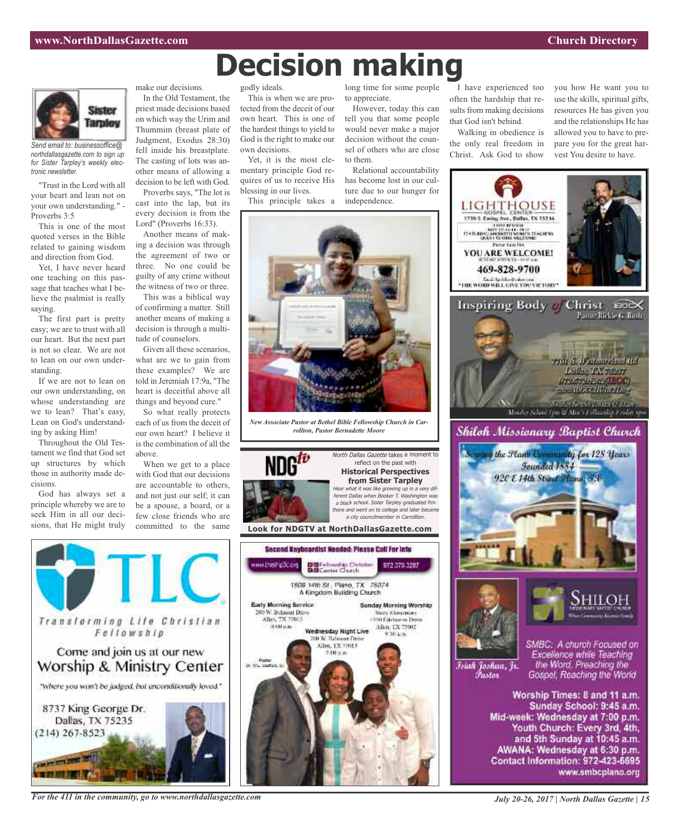I have experienced too often the hardship that results from making decisions that God isn't behind.

Walking in obedience is the only real freedom in Christ. Ask God to show

> LIGHTHOUSE 1730 S. Ewing Ave., Dallas, TX 75216. Parce San No YOU ARE WELCOME!



*Send email to: businessoffice@ northdallasgazette.com to sign up for Sister Tarpley's weekly electronic newsletter.*

"Trust in the Lord with all your heart and lean not on your own understanding." - Proverbs 3:5

This is one of the most quoted verses in the Bible related to gaining wisdom and direction from God.

Yet, I have never heard one teaching on this passage that teaches what I believe the psalmist is really saying.

The first part is pretty easy; we are to trust with all our heart. But the next part is not so clear. We are not to lean on our own understanding.

If we are not to lean on our own understanding, on whose understanding are we to lean? That's easy, Lean on God's understanding by asking Him!

Throughout the Old Testament we find that God set up structures by which those in authority made decisions.

God has always set a principle whereby we are to seek Him in all our decisions, that He might truly make our decisions. In the Old Testament, the

priest made decisions based on which way the Urim and Thummim (breast plate of Judgment, Exodus 28:30) fell inside his breastplate. The casting of lots was another means of allowing a decision to be left with God. Proverbs says, "The lot is

cast into the lap, but its every decision is from the Lord" (Proverbs 16:33).

Another means of making a decision was through the agreement of two or three. No one could be guilty of any crime without the witness of two or three.

This was a biblical way of confirming a matter. Still another means of making a decision is through a multitude of counselors.

Given all these scenarios, what are we to gain from these examples? We are told in Jeremiah 17:9a, "The heart is deceitful above all things and beyond cure."

So what really protects each of us from the deceit of our own heart? I believe it is the combination of all the above.

When we get to a place with God that our decisions are accountable to others, and not just our self; it can be a spouse, a board, or a few close friends who are committed to the same



*For the 411 in the community, go to www.northdallasgazette.com*

godly ideals.

This is when we are protected from the deceit of our own heart. This is one of the hardest things to yield to God is the right to make our own decisions.

Yet, it is the most elementary principle God requires of us to receive His blessing in our lives.

This principle takes a

long time for some people to appreciate.

However, today this can tell you that some people would never make a major decision without the counsel of others who are close to them.

Relational accountability has become lost in our culture due to our hunger for independence.



**Decision making**

*New Associate Pastor at Bethel Bible Fellowship Church in Carrollton, Pastor Bernadette Moore*



reflect on the past with **Historical Perspectives from Sister Tarpley** Hear what it was like growing up in <sup>a</sup> very different Dallas when Booker T. Washington was <sup>a</sup> black school. Sister Tarpley graduated frm there and went on to college and later became <sup>a</sup> city councilmember in Carrollton.

North Dallas Gazette takes a moment to

**Look for NDGTV at NorthDallasGazette.com**





you how He want you to use the skills, spiritual gifts, resources He has given you and the relationships He has allowed you to have to prepare you for the great harvest You desire to have.